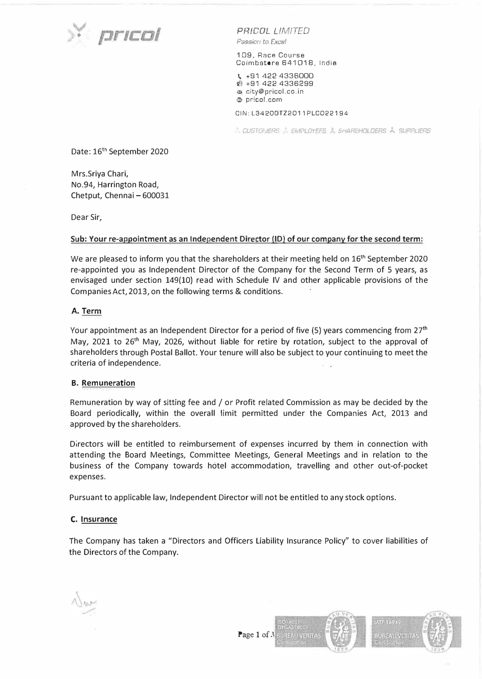

*PR!COL LIMITED*  Passion to Excel

109, Race Course Coimbatore 641018, India

I. +91 422 4336000 � +91 422 4336299 ;,:;, city@pricol.co.in ; pr!col.com

### CIN:L3420DTZ2011PLC022194

*CUSTON ERS A EMPLOYEES A SHAREHOLDERS A SUPPLIERS* 

Date: 16<sup>th</sup> September 2020

Mrs.Sriya Chari, No.94, Harrington Road, Chetput, Chennai - 600031

Dear Sir,

#### **Sub: Your re-appointment as an Independent Director (ID) of our company for the second term:**

We are pleased to inform you that the shareholders at their meeting held on  $16<sup>th</sup>$  September 2020 re-appointed you as Independent Director of the Company for the Second Term of 5 years, as envisaged under section 149(10) read with Schedule IV and other applicable provisions of the Companies Act, 2013, on the following terms & conditions.

### **A. Term**

Your appointment as an Independent Director for a period of five  $(5)$  years commencing from  $27<sup>th</sup>$ May, 2021 to 26<sup>th</sup> May, 2026, without liable for retire by rotation, subject to the approval of shareholders through Postal Ballot. Your tenure will also be subject to your continuing to meet the criteria of independence.

## **B. Remuneration**

Remuneration by way of sitting fee and / or Profit related Commission as may be decided by the Board periodically, within the overall limit permitted under the Companies Act, 2013 and approved by the shareholders.

Directors will be entitled to reimbursement of expenses incurred by them in connection with attending the Board Meetings, Committee Meetings, General Meetings and in relation to the business of the Company towards hotel accommodation, travelling and other out-of-pocket expenses.

Pursuant to applicable law, Independent Director will not be entitled to any stock options.

## **C. Insurance**

The Company has taken a "Directors and Officers Liability Insurance Policy" to cover liabilities of the Directors of the Company.



**STF 16949** uureau verita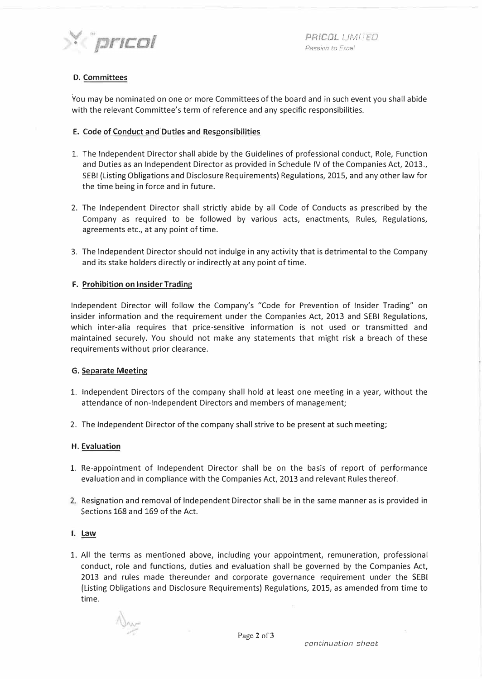

*L !M/ T EO*  Passion to Excel

# **D. Committees**

You may be nominated on one or more Committees of the board and in such event you shall abide with the relevant Committee's term of reference and any specific responsibilities.

# E. Code of Conduct and Duties and Responsibilities

- 1. The Independent Director shall abide by the Guidelines of professional conduct, Role, Function and Duties as an Independent Director as provided in Schedule IV of the Companies Act, 2013., SEBI {Listing Obligations and Disclosure Requirements) Regulations, 2015, and any other law for the time being in force and in future.
- 2. The Independent Director shall strictly abide by all Code of Conducts as prescribed by the Company as required to be followed by various acts, enactments, Rules, Regulations, agreements etc., at any point of time.
- 3. The Independent Director should not indulge in any activity that is detrimental to the Company and its stake holders directly or indirectly at any point of time.

# **F. Prohibition on Insider Trading**

Independent Director will follow the Company's "Code for Prevention of Insider Trading" on insider information and the requirement under the Companies Act, 2013 and SEBI Regulations, which inter-alia requires that price-sensitive information is not used or transmitted and maintained securely. You should not make any statements that might risk a breach of these requirements without prior clearance.

## **G. Separate Meeting**

- 1. Independent Directors of the company shall hold at least one meeting in a year, without the attendance of non-Independent Directors and members of management;
- 2. The Independent Director of the company shall strive to be present at such meeting;

## **H. Evaluation**

- 1. Re-appointment of Independent Director shall be on the basis of report of performance evaluation and in compliance with the Companies Act, 2013 and relevant Rules thereof.
- 2. Resignation and removal of Independent Director shall be in the same manner as is provided in Sections 168 and 169 of the Act.

## I. Law

1. All the terms as mentioned above, including your appointment, remuneration, professional conduct, role and functions, duties and evaluation shall be governed by the Companies Act, 2013 and rules made thereunder and corporate governance requirement under the SEBI (Listing Obligations and Disclosure Requirements) Regulations, 2015, as amended from time to time.